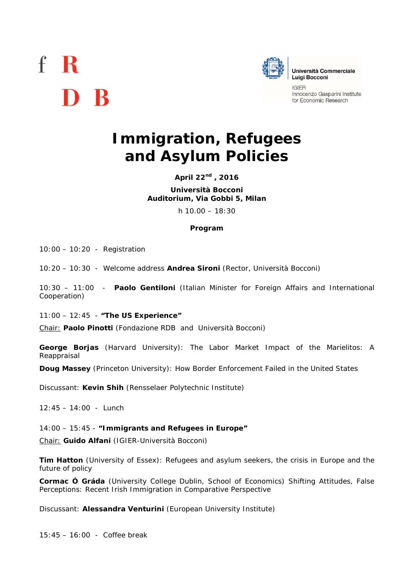## $f \, R$ D R



**IGIER** Innocenzo Gasparini Institute for Economic Research

## **Immigration, Refugees and Asylum Policies**

**April 22nd , 2016**

**Università Bocconi Auditorium, Via Gobbi 5, Milan**

h 10.00 – 18:30

## **Program**

10:00 – 10:20 - Registration

10:20 – 10:30 - Welcome address **Andrea Sironi** (Rector, Università Bocconi)

10:30 – 11:00 - **Paolo Gentiloni** (Italian Minister for Foreign Affairs and International Cooperation)

11:00 – 12:45 - *"The US Experience"*

Chair: **Paolo Pinotti** (Fondazione RDB and Università Bocconi)

**George Borjas** (Harvard University): *The Labor Market Impact of the Marielitos: A Reappraisal*

**Doug Massey** (Princeton University): *How Border Enforcement Failed in the United States*

Discussant: **Kevin Shih** (Rensselaer Polytechnic Institute)

*12:45 – 14:00 - Lunch*

14:00 – 15:45 - *"Immigrants and Refugees in Europe"*

Chair: **Guido Alfani** (IGIER-Università Bocconi)

**Tim Hatton** (University of Essex): *Refugees and asylum seekers, the crisis in Europe and the future of policy*

**Cormac Ó Gráda** (University College Dublin, School of Economics) *Shifting Attitudes, False Perceptions: Recent Irish Immigration in Comparative Perspective*

Discussant: **Alessandra Venturini** (European University Institute)

*15:45 – 16:00 - Coffee break*